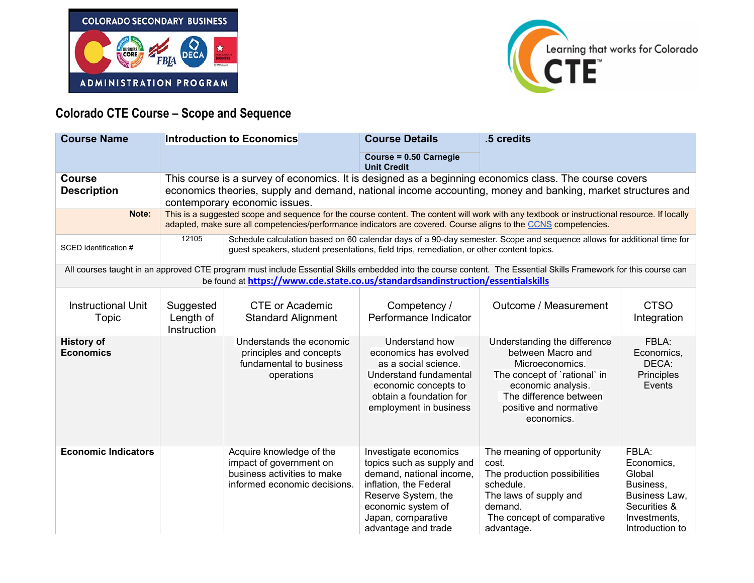



## **Colorado CTE Course – Scope and Sequence**

| <b>Course Name</b>                                                                                                                                                                                                                                  |                                                                                                                                                                                                                                                                 | <b>Introduction to Economics</b>                                                                                                                                                                                    | <b>Course Details</b>                                                                                                                                                                              | .5 credits                                                                                                                                                                                   |                                                                                                                |  |  |
|-----------------------------------------------------------------------------------------------------------------------------------------------------------------------------------------------------------------------------------------------------|-----------------------------------------------------------------------------------------------------------------------------------------------------------------------------------------------------------------------------------------------------------------|---------------------------------------------------------------------------------------------------------------------------------------------------------------------------------------------------------------------|----------------------------------------------------------------------------------------------------------------------------------------------------------------------------------------------------|----------------------------------------------------------------------------------------------------------------------------------------------------------------------------------------------|----------------------------------------------------------------------------------------------------------------|--|--|
|                                                                                                                                                                                                                                                     |                                                                                                                                                                                                                                                                 |                                                                                                                                                                                                                     | Course = 0.50 Carnegie<br><b>Unit Credit</b>                                                                                                                                                       |                                                                                                                                                                                              |                                                                                                                |  |  |
| <b>Course</b><br><b>Description</b>                                                                                                                                                                                                                 | This course is a survey of economics. It is designed as a beginning economics class. The course covers<br>economics theories, supply and demand, national income accounting, money and banking, market structures and<br>contemporary economic issues.          |                                                                                                                                                                                                                     |                                                                                                                                                                                                    |                                                                                                                                                                                              |                                                                                                                |  |  |
| Note:                                                                                                                                                                                                                                               | This is a suggested scope and sequence for the course content. The content will work with any textbook or instructional resource. If locally<br>adapted, make sure all competencies/performance indicators are covered. Course aligns to the CCNS competencies. |                                                                                                                                                                                                                     |                                                                                                                                                                                                    |                                                                                                                                                                                              |                                                                                                                |  |  |
| SCED Identification #                                                                                                                                                                                                                               | 12105                                                                                                                                                                                                                                                           | Schedule calculation based on 60 calendar days of a 90-day semester. Scope and sequence allows for additional time for<br>guest speakers, student presentations, field trips, remediation, or other content topics. |                                                                                                                                                                                                    |                                                                                                                                                                                              |                                                                                                                |  |  |
| All courses taught in an approved CTE program must include Essential Skills embedded into the course content. The Essential Skills Framework for this course can<br>be found at https://www.cde.state.co.us/standardsandinstruction/essentialskills |                                                                                                                                                                                                                                                                 |                                                                                                                                                                                                                     |                                                                                                                                                                                                    |                                                                                                                                                                                              |                                                                                                                |  |  |
| <b>Instructional Unit</b><br>Topic                                                                                                                                                                                                                  | Suggested<br>Length of<br>Instruction                                                                                                                                                                                                                           | <b>CTE or Academic</b><br><b>Standard Alignment</b>                                                                                                                                                                 | Competency /<br>Performance Indicator                                                                                                                                                              | Outcome / Measurement                                                                                                                                                                        | <b>CTSO</b><br>Integration                                                                                     |  |  |
| <b>History of</b><br><b>Economics</b>                                                                                                                                                                                                               |                                                                                                                                                                                                                                                                 | Understands the economic<br>principles and concepts<br>fundamental to business<br>operations                                                                                                                        | Understand how<br>economics has evolved<br>as a social science.<br>Understand fundamental<br>economic concepts to<br>obtain a foundation for<br>employment in business                             | Understanding the difference<br>between Macro and<br>Microeconomics.<br>The concept of `rational` in<br>economic analysis.<br>The difference between<br>positive and normative<br>economics. | FBLA:<br>Economics,<br>DECA:<br>Principles<br>Events                                                           |  |  |
| <b>Economic Indicators</b>                                                                                                                                                                                                                          |                                                                                                                                                                                                                                                                 | Acquire knowledge of the<br>impact of government on<br>business activities to make<br>informed economic decisions.                                                                                                  | Investigate economics<br>topics such as supply and<br>demand, national income,<br>inflation, the Federal<br>Reserve System, the<br>economic system of<br>Japan, comparative<br>advantage and trade | The meaning of opportunity<br>cost.<br>The production possibilities<br>schedule.<br>The laws of supply and<br>demand.<br>The concept of comparative<br>advantage.                            | FBLA:<br>Economics,<br>Global<br>Business,<br>Business Law,<br>Securities &<br>Investments,<br>Introduction to |  |  |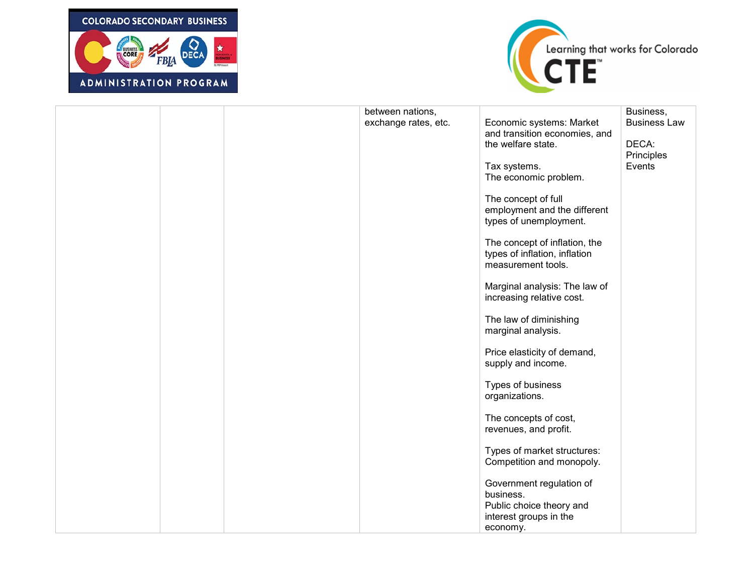



|  | between nations,<br>exchange rates, etc. | Economic systems: Market<br>and transition economies, and<br>the welfare state.<br>Tax systems.                       | Business,<br><b>Business Law</b><br>DECA:<br>Principles<br>Events |
|--|------------------------------------------|-----------------------------------------------------------------------------------------------------------------------|-------------------------------------------------------------------|
|  |                                          | The economic problem.<br>The concept of full<br>employment and the different<br>types of unemployment.                |                                                                   |
|  |                                          | The concept of inflation, the<br>types of inflation, inflation<br>measurement tools.<br>Marginal analysis: The law of |                                                                   |
|  |                                          | increasing relative cost.<br>The law of diminishing<br>marginal analysis.                                             |                                                                   |
|  |                                          | Price elasticity of demand,<br>supply and income.                                                                     |                                                                   |
|  |                                          | Types of business<br>organizations.<br>The concepts of cost,                                                          |                                                                   |
|  |                                          | revenues, and profit.<br>Types of market structures:<br>Competition and monopoly.                                     |                                                                   |
|  |                                          | Government regulation of<br>business.<br>Public choice theory and<br>interest groups in the<br>economy.               |                                                                   |